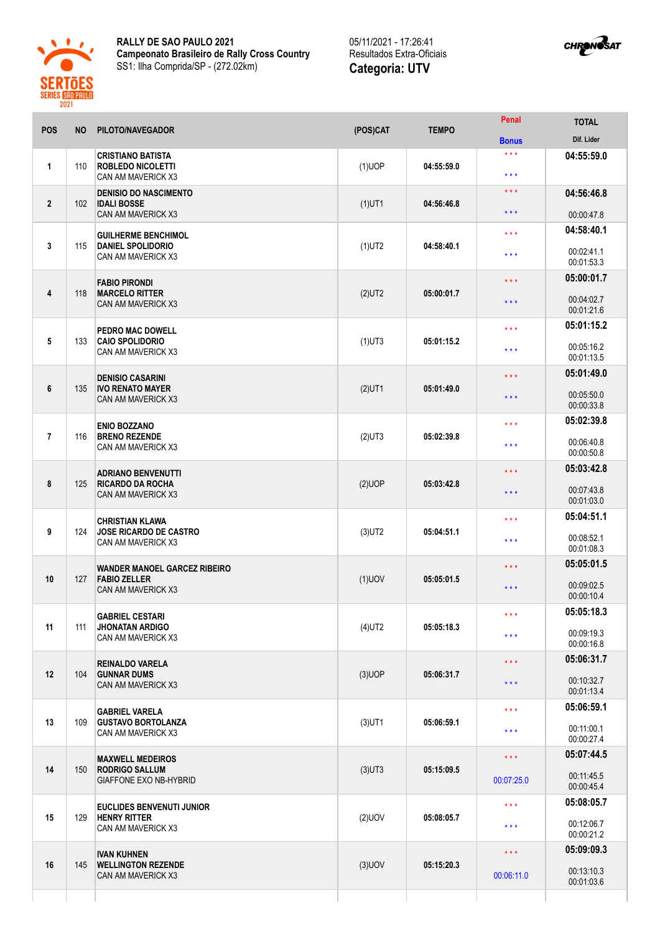

**RALLY DE SAO PAULO 2021 Campeonato Brasileiro de Rally Cross Country** SS1: Ilha Comprida/SP - (272.02km)



| POS            | <b>NO</b> | PILOTO/NAVEGADOR                                                                  | (POS)CAT  | <b>TEMPO</b> | Penal                                 | <b>TOTAL</b>                                         |
|----------------|-----------|-----------------------------------------------------------------------------------|-----------|--------------|---------------------------------------|------------------------------------------------------|
|                |           |                                                                                   |           |              | <b>Bonus</b>                          | Dif. Lider                                           |
| 1              | 110       | <b>CRISTIANO BATISTA</b><br><b>ROBLEDO NICOLETTI</b><br>CAN AM MAVERICK X3        | $(1)$ UOP | 04:55:59.0   | $***$<br>$***$                        | 04:55:59.0                                           |
| $\mathbf{2}$   | 102       | <b>DENISIO DO NASCIMENTO</b><br><b>IDALI BOSSE</b><br>CAN AM MAVERICK X3          | $(1)$ UT1 | 04:56:46.8   | $***$<br>$***$                        | 04:56:46.8<br>00:00:47.8                             |
| 3              | 115       | <b>GUILHERME BENCHIMOL</b><br><b>DANIEL SPOLIDORIO</b><br>CAN AM MAVERICK X3      | $(1)$ UT2 | 04:58:40.1   | $***$<br>$***$                        | 04:58:40.1<br>00:02:41.1                             |
| 4              | 118       | <b>FABIO PIRONDI</b><br><b>MARCELO RITTER</b><br>CAN AM MAVERICK X3               | $(2)$ UT2 | 05:00:01.7   | $***$<br>$***$                        | 00:01:53.3<br>05:00:01.7<br>00:04:02.7<br>00:01:21.6 |
| 5              | 133       | <b>PEDRO MAC DOWELL</b><br><b>CAIO SPOLIDORIO</b><br>CAN AM MAVERICK X3           | $(1)$ UT3 | 05:01:15.2   | $***$<br>$***$                        | 05:01:15.2<br>00:05:16.2<br>00:01:13.5               |
| 6              | 135       | <b>DENISIO CASARINI</b><br><b>IVO RENATO MAYER</b><br>CAN AM MAVERICK X3          | $(2)$ UT1 | 05:01:49.0   | $\star \star \star$<br>$***$          | 05:01:49.0<br>00:05:50.0<br>00:00:33.8               |
| $\overline{7}$ | 116       | <b>ENIO BOZZANO</b><br><b>BRENO REZENDE</b><br>CAN AM MAVERICK X3                 | $(2)$ UT3 | 05:02:39.8   | $***$<br>$***$                        | 05:02:39.8<br>00:06:40.8<br>00:00:50.8               |
| 8              | 125       | <b>ADRIANO BENVENUTTI</b><br><b>RICARDO DA ROCHA</b><br>CAN AM MAVERICK X3        | $(2)$ UOP | 05:03:42.8   | $***$<br>$***$                        | 05:03:42.8<br>00:07:43.8<br>00:01:03.0               |
| 9              | 124       | <b>CHRISTIAN KLAWA</b><br><b>JOSE RICARDO DE CASTRO</b><br>CAN AM MAVERICK X3     | $(3)$ UT2 | 05:04:51.1   | $***$<br>$***$                        | 05:04:51.1<br>00:08:52.1<br>00:01:08.3               |
| 10             | 127       | <b>WANDER MANOEL GARCEZ RIBEIRO</b><br><b>FABIO ZELLER</b><br>CAN AM MAVERICK X3  | $(1)$ UOV | 05:05:01.5   | $***$<br>$***$                        | 05:05:01.5<br>00:09:02.5<br>00:00:10.4               |
| 11             | 111       | <b>GABRIEL CESTARI</b><br><b>JHONATAN ARDIGO</b><br>CAN AM MAVERICK X3            | $(4)$ UT2 | 05:05:18.3   | * * *<br>$\star \star \star$          | 05:05:18.3<br>00:09:19.3<br>00:00:16.8               |
| 12             | 104       | <b>REINALDO VARELA</b><br><b>GUNNAR DUMS</b><br>CAN AM MAVERICK X3                | $(3)$ UOP | 05:06:31.7   | $\star\star\star$<br>$***$            | 05:06:31.7<br>00:10:32.7<br>00:01:13.4               |
| 13             | 109       | <b>GABRIEL VARELA</b><br><b>GUSTAVO BORTOLANZA</b><br>CAN AM MAVERICK X3          | $(3)$ UT1 | 05:06:59.1   | $***$<br>$***$                        | 05:06:59.1<br>00:11:00.1<br>00:00:27.4               |
| 14             | 150       | <b>MAXWELL MEDEIROS</b><br><b>RODRIGO SALLUM</b><br><b>GIAFFONE EXO NB-HYBRID</b> | $(3)$ UT3 | 05:15:09.5   | $\star$ $\star$ $\star$<br>00:07:25.0 | 05:07:44.5<br>00:11:45.5<br>00:00:45.4               |
| 15             | 129       | <b>EUCLIDES BENVENUTI JUNIOR</b><br><b>HENRY RITTER</b><br>CAN AM MAVERICK X3     | $(2)$ UOV | 05:08:05.7   | $***$<br>$***$                        | 05:08:05.7<br>00:12:06.7<br>00:00:21.2               |
| 16             | 145       | <b>IVAN KUHNEN</b><br><b>WELLINGTON REZENDE</b><br>CAN AM MAVERICK X3             | $(3)$ UOV | 05:15:20.3   | $\star\star\star$<br>00:06:11.0       | 05:09:09.3<br>00:13:10.3<br>00:01:03.6               |
|                |           |                                                                                   |           |              |                                       |                                                      |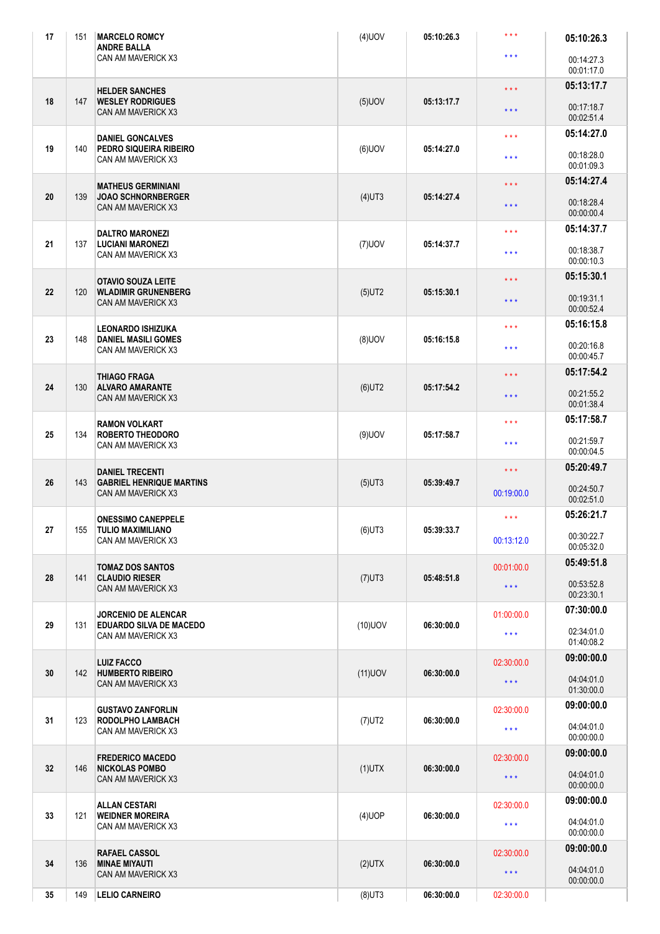| 17 | 151 | <b>MARCELO ROMCY</b><br><b>ANDRE BALLA</b>                                | $(4)$ UOV  | 05:10:26.3                                           | $\star \star \star$     | 05:10:26.3               |
|----|-----|---------------------------------------------------------------------------|------------|------------------------------------------------------|-------------------------|--------------------------|
|    |     | <b>CAN AM MAVERICK X3</b>                                                 |            |                                                      | $***$                   | 00:14:27.3<br>00:01:17.0 |
|    |     | <b>HELDER SANCHES</b><br><b>WESLEY RODRIGUES</b><br>CAN AM MAVERICK X3    |            | 05:13:17.7                                           | $***$                   | 05:13:17.7               |
| 18 | 147 |                                                                           | $(5)$ UOV  |                                                      | $***$                   | 00:17:18.7<br>00:02:51.4 |
|    |     | <b>DANIEL GONCALVES</b>                                                   |            | 05:14:27.0                                           | $\star \star \star$     | 05:14:27.0               |
| 19 | 140 | PEDRO SIQUEIRA RIBEIRO<br>CAN AM MAVERICK X3                              | $(6)$ UOV  |                                                      | $***$                   | 00:18:28.0<br>00:01:09.3 |
|    |     | <b>MATHEUS GERMINIANI</b>                                                 |            |                                                      | $\star\star\star$       | 05:14:27.4               |
| 20 | 139 | <b>JOAO SCHNORNBERGER</b><br>CAN AM MAVERICK X3                           | $(4)$ UT3  | 05:14:27.4                                           | $***$                   | 00:18:28.4<br>00:00:00.4 |
|    |     | <b>DALTRO MARONEZI</b>                                                    |            |                                                      | $***$                   | 05:14:37.7               |
| 21 | 137 | <b>LUCIANI MARONEZI</b><br>CAN AM MAVERICK X3                             | $(7)$ UOV  | 05:14:37.7                                           | $***$                   | 00:18:38.7<br>00:00:10.3 |
|    |     | <b>OTAVIO SOUZA LEITE</b>                                                 |            |                                                      | $\star\star\star$       | 05:15:30.1               |
| 22 | 120 | <b>WLADIMIR GRUNENBERG</b><br><b>CAN AM MAVERICK X3</b>                   | $(5)$ UT2  | 05:15:30.1                                           | $***$                   | 00:19:31.1<br>00:00:52.4 |
|    |     | <b>LEONARDO ISHIZUKA</b>                                                  |            |                                                      | $***$                   | 05:16:15.8               |
| 23 | 148 | <b>DANIEL MASILI GOMES</b><br>CAN AM MAVERICK X3                          | $(8)$ UOV  | 05:16:15.8                                           | $***$                   | 00:20:16.8<br>00:00:45.7 |
|    |     | <b>THIAGO FRAGA</b>                                                       |            |                                                      | $\star \star \star$     | 05:17:54.2               |
| 24 | 130 | <b>ALVARO AMARANTE</b><br>CAN AM MAVERICK X3                              | $(6)$ UT2  | 05:17:54.2                                           | $***$                   | 00:21:55.2<br>00:01:38.4 |
|    |     | <b>RAMON VOLKART</b>                                                      |            | 05:17:58.7                                           | $***$                   | 05:17:58.7               |
| 25 | 134 | <b>ROBERTO THEODORO</b><br>CAN AM MAVERICK X3                             | $(9)$ UOV  |                                                      | $\star \star \star$     | 00:21:59.7<br>00:00:04.5 |
|    |     | <b>DANIEL TRECENTI</b>                                                    |            | 05:39:49.7<br>05:39:33.7<br>05:48:51.8<br>06:30:00.0 | $\star$ $\star$ $\star$ | 05:20:49.7               |
| 26 | 143 | <b>GABRIEL HENRIQUE MARTINS</b><br>CAN AM MAVERICK X3                     | $(5)$ UT3  |                                                      | 00:19:00.0              | 00:24:50.7<br>00:02:51.0 |
|    |     | <b>ONESSIMO CANEPPELE</b>                                                 |            |                                                      | $***$                   | 05:26:21.7               |
| 27 | 155 | TULIO MAXIMILIANO<br>CAN AM MAVERICK X3                                   | $(6)$ UT3  |                                                      | 00:13:12.0              | 00:30:22.7<br>00:05:32.0 |
|    |     | <b>TOMAZ DOS SANTOS</b>                                                   |            |                                                      | 00:01:00.0              | 05:49:51.8               |
| 28 | 141 | <b>CLAUDIO RIESER</b><br>CAN AM MAVERICK X3                               | $(7)$ UT3  |                                                      | $\star \star \star$     | 00:53:52.8<br>00:23:30.1 |
|    |     | <b>JORCENIO DE ALENCAR</b>                                                |            |                                                      | 01:00:00.0              | 07:30:00.0               |
| 29 | 131 | <b>EDUARDO SILVA DE MACEDO</b><br>CAN AM MAVERICK X3                      | $(10)$ UOV |                                                      | $\star \star \star$     | 02:34:01.0               |
|    |     |                                                                           |            |                                                      |                         | 01:40:08.2               |
| 30 | 142 | <b>LUIZ FACCO</b><br><b>HUMBERTO RIBEIRO</b><br>CAN AM MAVERICK X3        | $(11)$ UOV | 06:30:00.0                                           | 02:30:00.0              | 09:00:00.0               |
|    |     |                                                                           |            |                                                      | $\star \star \star$     | 04:04:01.0<br>01:30:00.0 |
|    | 123 | <b>GUSTAVO ZANFORLIN</b><br><b>RODOLPHO LAMBACH</b><br>CAN AM MAVERICK X3 |            |                                                      | 02:30:00.0              | 09:00:00.0               |
| 31 |     |                                                                           | $(7)$ UT2  | 06:30:00.0                                           | $* * *$                 | 04:04:01.0<br>00:00:00.0 |
|    |     | <b>FREDERICO MACEDO</b><br><b>NICKOLAS POMBO</b><br>CAN AM MAVERICK X3    | $(1)$ UTX  | 06:30:00.0                                           | 02:30:00.0              | 09:00:00.0               |
| 32 | 146 |                                                                           |            |                                                      | $\star$ $\star$ $\star$ | 04:04:01.0<br>00:00:00.0 |
|    |     | <b>ALLAN CESTARI</b>                                                      |            |                                                      | 02:30:00.0              | 09:00:00.0               |
| 33 | 121 | <b>WEIDNER MOREIRA</b><br>CAN AM MAVERICK X3                              | $(4)$ UOP  | 06:30:00.0                                           | $\star \star \star$     | 04:04:01.0<br>00:00:00.0 |
|    | 136 | <b>RAFAEL CASSOL</b><br><b>MINAE MIYAUTI</b><br>CAN AM MAVERICK X3        | $(2)$ UTX  | 06:30:00.0                                           | 02:30:00.0              | 09:00:00.0               |
| 34 |     |                                                                           |            |                                                      | $\star \star \star$     | 04:04:01.0<br>00:00:00.0 |
| 35 | 149 | <b>LELIO CARNEIRO</b>                                                     | $(8)$ UT3  | 06:30:00.0                                           | 02:30:00.0              |                          |